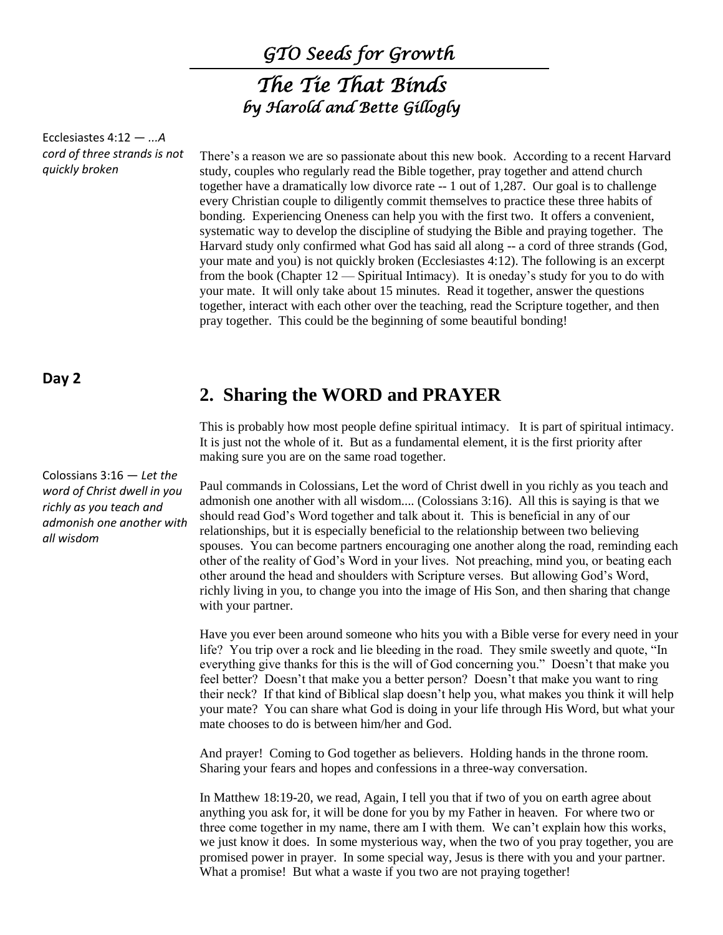*GTO Seeds for Growth* 

# *The Tie That Binds by Harold and Bette Gillogly*

Ecclesiastes 4:12 — *...A cord of three strands is not quickly broken*

There's a reason we are so passionate about this new book. According to a recent Harvard study, couples who regularly read the Bible together, pray together and attend church together have a dramatically low divorce rate -- 1 out of 1,287. Our goal is to challenge every Christian couple to diligently commit themselves to practice these three habits of bonding. Experiencing Oneness can help you with the first two. It offers a convenient, systematic way to develop the discipline of studying the Bible and praying together. The Harvard study only confirmed what God has said all along -- a cord of three strands (God, your mate and you) is not quickly broken (Ecclesiastes 4:12). The following is an excerpt from the book (Chapter 12 — Spiritual Intimacy). It is oneday's study for you to do with your mate. It will only take about 15 minutes. Read it together, answer the questions together, interact with each other over the teaching, read the Scripture together, and then pray together. This could be the beginning of some beautiful bonding!

## **Day 2**

Colossians 3:16 — *Let the word of Christ dwell in you richly as you teach and admonish one another with all wisdom*

# **2. Sharing the WORD and PRAYER**

This is probably how most people define spiritual intimacy. It is part of spiritual intimacy. It is just not the whole of it. But as a fundamental element, it is the first priority after making sure you are on the same road together.

Paul commands in Colossians, Let the word of Christ dwell in you richly as you teach and admonish one another with all wisdom.... (Colossians 3:16). All this is saying is that we should read God's Word together and talk about it. This is beneficial in any of our relationships, but it is especially beneficial to the relationship between two believing spouses. You can become partners encouraging one another along the road, reminding each other of the reality of God's Word in your lives. Not preaching, mind you, or beating each other around the head and shoulders with Scripture verses. But allowing God's Word, richly living in you, to change you into the image of His Son, and then sharing that change with your partner.

Have you ever been around someone who hits you with a Bible verse for every need in your life? You trip over a rock and lie bleeding in the road. They smile sweetly and quote, "In everything give thanks for this is the will of God concerning you." Doesn't that make you feel better? Doesn't that make you a better person? Doesn't that make you want to ring their neck? If that kind of Biblical slap doesn't help you, what makes you think it will help your mate? You can share what God is doing in your life through His Word, but what your mate chooses to do is between him/her and God.

And prayer! Coming to God together as believers. Holding hands in the throne room. Sharing your fears and hopes and confessions in a three-way conversation.

In Matthew 18:19-20, we read, Again, I tell you that if two of you on earth agree about anything you ask for, it will be done for you by my Father in heaven. For where two or three come together in my name, there am I with them. We can't explain how this works, we just know it does. In some mysterious way, when the two of you pray together, you are promised power in prayer. In some special way, Jesus is there with you and your partner. What a promise! But what a waste if you two are not praying together!